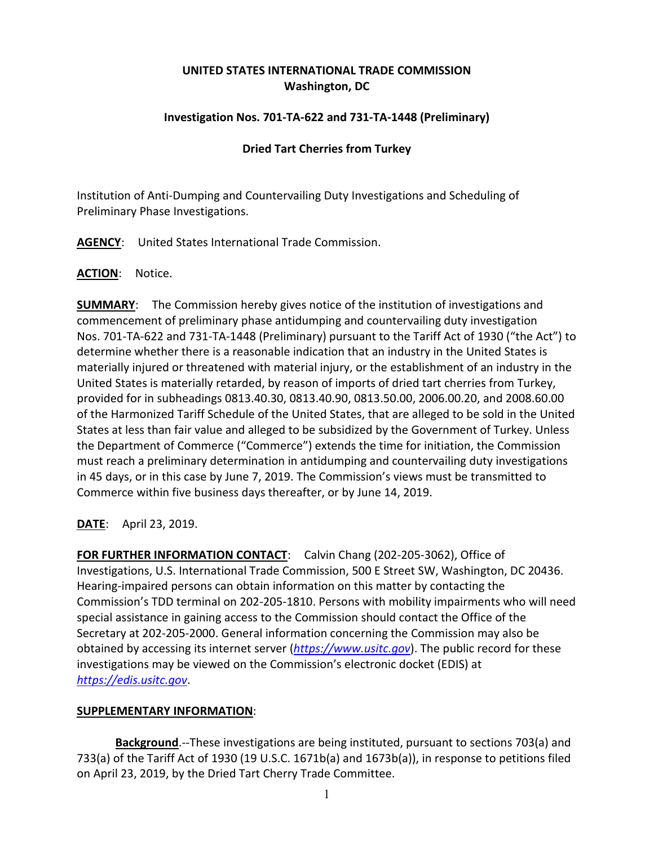# **UNITED STATES INTERNATIONAL TRADE COMMISSION Washington, DC**

# **Investigation Nos. 701-TA-622 and 731-TA-1448 (Preliminary)**

### **Dried Tart Cherries from Turkey**

Institution of Anti-Dumping and Countervailing Duty Investigations and Scheduling of Preliminary Phase Investigations.

**AGENCY**: United States International Trade Commission.

#### **ACTION**: Notice.

**SUMMARY**: The Commission hereby gives notice of the institution of investigations and commencement of preliminary phase antidumping and countervailing duty investigation Nos. 701-TA-622 and 731-TA-1448 (Preliminary) pursuant to the Tariff Act of 1930 ("the Act") to determine whether there is a reasonable indication that an industry in the United States is materially injured or threatened with material injury, or the establishment of an industry in the United States is materially retarded, by reason of imports of dried tart cherries from Turkey, provided for in subheadings 0813.40.30, 0813.40.90, 0813.50.00, 2006.00.20, and 2008.60.00 of the Harmonized Tariff Schedule of the United States, that are alleged to be sold in the United States at less than fair value and alleged to be subsidized by the Government of Turkey. Unless the Department of Commerce ("Commerce") extends the time for initiation, the Commission must reach a preliminary determination in antidumping and countervailing duty investigations in 45 days, or in this case by June 7, 2019. The Commission's views must be transmitted to Commerce within five business days thereafter, or by June 14, 2019.

**DATE**: April 23, 2019.

**FOR FURTHER INFORMATION CONTACT**: Calvin Chang (202-205-3062), Office of Investigations, U.S. International Trade Commission, 500 E Street SW, Washington, DC 20436. Hearing-impaired persons can obtain information on this matter by contacting the Commission's TDD terminal on 202-205-1810. Persons with mobility impairments who will need special assistance in gaining access to the Commission should contact the Office of the Secretary at 202-205-2000. General information concerning the Commission may also be obtained by accessing its internet server (*[https://www.usitc.gov](https://www.usitc.gov/)*). The public record for these investigations may be viewed on the Commission's electronic docket (EDIS) at *[https://edis.usitc.gov](https://edis.usitc.gov/)*.

# **SUPPLEMENTARY INFORMATION**:

**Background**.--These investigations are being instituted, pursuant to sections 703(a) and 733(a) of the Tariff Act of 1930 (19 U.S.C. 1671b(a) and 1673b(a)), in response to petitions filed on April 23, 2019, by the Dried Tart Cherry Trade Committee.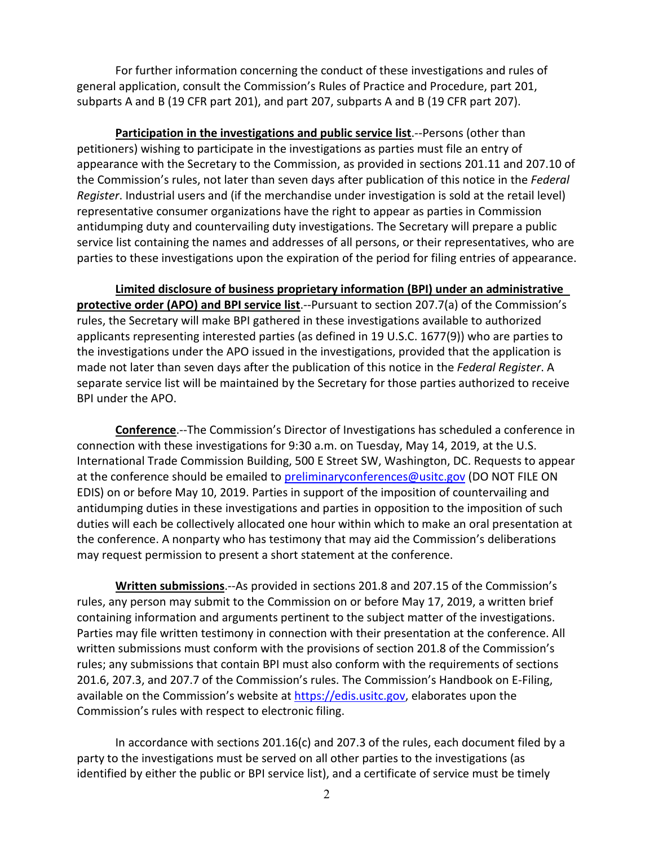For further information concerning the conduct of these investigations and rules of general application, consult the Commission's Rules of Practice and Procedure, part 201, subparts A and B (19 CFR part 201), and part 207, subparts A and B (19 CFR part 207).

**Participation in the investigations and public service list**.--Persons (other than petitioners) wishing to participate in the investigations as parties must file an entry of appearance with the Secretary to the Commission, as provided in sections 201.11 and 207.10 of the Commission's rules, not later than seven days after publication of this notice in the *Federal Register*. Industrial users and (if the merchandise under investigation is sold at the retail level) representative consumer organizations have the right to appear as parties in Commission antidumping duty and countervailing duty investigations. The Secretary will prepare a public service list containing the names and addresses of all persons, or their representatives, who are parties to these investigations upon the expiration of the period for filing entries of appearance.

**Limited disclosure of business proprietary information (BPI) under an administrative protective order (APO) and BPI service list**.--Pursuant to section 207.7(a) of the Commission's rules, the Secretary will make BPI gathered in these investigations available to authorized applicants representing interested parties (as defined in 19 U.S.C. 1677(9)) who are parties to the investigations under the APO issued in the investigations, provided that the application is made not later than seven days after the publication of this notice in the *Federal Register*. A separate service list will be maintained by the Secretary for those parties authorized to receive BPI under the APO.

**Conference**.--The Commission's Director of Investigations has scheduled a conference in connection with these investigations for 9:30 a.m. on Tuesday, May 14, 2019, at the U.S. International Trade Commission Building, 500 E Street SW, Washington, DC. Requests to appear at the conference should be emailed to [preliminaryconferences@usitc.gov](mailto:preliminaryconferences@usitc.gov) (DO NOT FILE ON EDIS) on or before May 10, 2019. Parties in support of the imposition of countervailing and antidumping duties in these investigations and parties in opposition to the imposition of such duties will each be collectively allocated one hour within which to make an oral presentation at the conference. A nonparty who has testimony that may aid the Commission's deliberations may request permission to present a short statement at the conference.

**Written submissions**.--As provided in sections 201.8 and 207.15 of the Commission's rules, any person may submit to the Commission on or before May 17, 2019, a written brief containing information and arguments pertinent to the subject matter of the investigations. Parties may file written testimony in connection with their presentation at the conference. All written submissions must conform with the provisions of section 201.8 of the Commission's rules; any submissions that contain BPI must also conform with the requirements of sections 201.6, 207.3, and 207.7 of the Commission's rules. The Commission's Handbook on E-Filing, available on the Commission's website at [https://edis.usitc.gov,](https://edis.usitc.gov/) elaborates upon the Commission's rules with respect to electronic filing.

In accordance with sections 201.16(c) and 207.3 of the rules, each document filed by a party to the investigations must be served on all other parties to the investigations (as identified by either the public or BPI service list), and a certificate of service must be timely